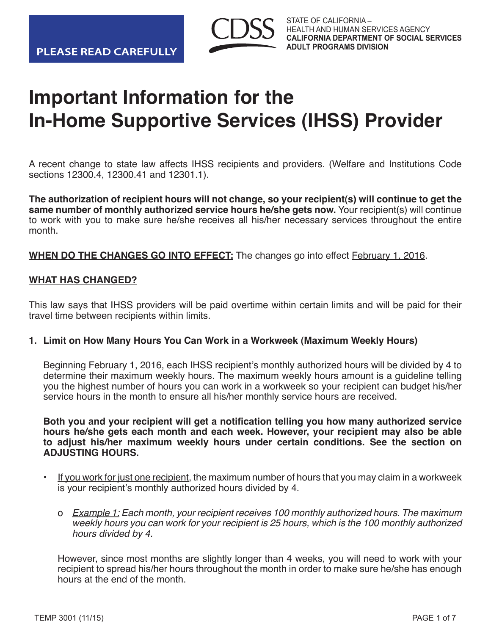

# **Important Information for the In-Home Supportive Services (IHSS) Provider**

A recent change to state law affects IHSS recipients and providers. (Welfare and Institutions Code sections 12300.4, 12300.41 and 12301.1).

**The authorization of recipient hours will not change, so your recipient(s) will continue to get the same number of monthly authorized service hours he/she gets now.** Your recipient(s) will continue to work with you to make sure he/she receives all his/her necessary services throughout the entire month.

**WHEN DO THE CHANGES GO INTO EFFECT:** The changes go into effect **February 1, 2016.** 

# **WHAT HAS CHANGED?**

This law says that IHSS providers will be paid overtime within certain limits and will be paid for their travel time between recipients within limits.

# **1. Limit on How Many Hours You Can Work in a Workweek (Maximum Weekly Hours)**

Beginning February 1, 2016, each IHSS recipient's monthly authorized hours will be divided by 4 to determine their maximum weekly hours. The maximum weekly hours amount is a guideline telling you the highest number of hours you can work in a workweek so your recipient can budget his/her service hours in the month to ensure all his/her monthly service hours are received.

**Both you and your recipient will get a notification telling you how many authorized service hours he/she gets each month and each week. However, your recipient may also be able to adjust his/her maximum weekly hours under certain conditions. See the section on ADJUSTING HOURS.**

- If you work for just one recipient, the maximum number of hours that you may claim in a workweek is your recipient's monthly authorized hours divided by 4.
	- o Example 1: Each month, your recipient receives 100 monthly authorized hours. The maximum weekly hours you can work for your recipient is 25 hours, which is the 100 monthly authorized hours divided by 4.

However, since most months are slightly longer than 4 weeks, you will need to work with your recipient to spread his/her hours throughout the month in order to make sure he/she has enough hours at the end of the month.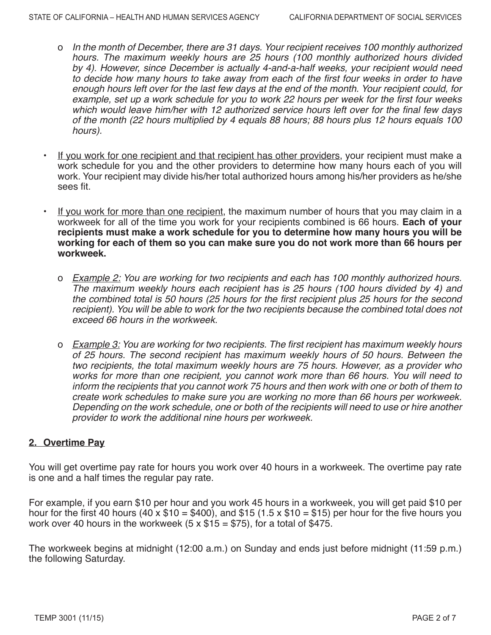- o In the month of December, there are 31 days. Your recipient receives 100 monthly authorized hours. The maximum weekly hours are 25 hours (100 monthly authorized hours divided by 4). However, since December is actually 4-and-a-half weeks, your recipient would need to decide how many hours to take away from each of the first four weeks in order to have enough hours left over for the last few days at the end of the month. Your recipient could, for example, set up a work schedule for you to work 22 hours per week for the first four weeks which would leave him/her with 12 authorized service hours left over for the final few days of the month (22 hours multiplied by 4 equals 88 hours; 88 hours plus 12 hours equals 100 hours).
- If you work for one recipient and that recipient has other providers, your recipient must make a work schedule for you and the other providers to determine how many hours each of you will work. Your recipient may divide his/her total authorized hours among his/her providers as he/she sees fit.
- If you work for more than one recipient, the maximum number of hours that you may claim in a workweek for all of the time you work for your recipients combined is 66 hours. **Each of your recipients must make a work schedule for you to determine how many hours you will be working for each of them so you can make sure you do not work more than 66 hours per workweek.**
	- o Example 2: You are working for two recipients and each has 100 monthly authorized hours. The maximum weekly hours each recipient has is 25 hours (100 hours divided by 4) and the combined total is 50 hours (25 hours for the first recipient plus 25 hours for the second recipient). You will be able to work for the two recipients because the combined total does not exceed 66 hours in the workweek.
	- o Example 3: You are working for two recipients. The first recipient has maximum weekly hours of 25 hours. The second recipient has maximum weekly hours of 50 hours. Between the two recipients, the total maximum weekly hours are 75 hours. However, as a provider who works for more than one recipient, you cannot work more than 66 hours. You will need to inform the recipients that you cannot work 75 hours and then work with one or both of them to create work schedules to make sure you are working no more than 66 hours per workweek. Depending on the work schedule, one or both of the recipients will need to use or hire another provider to work the additional nine hours per workweek.

# **2. Overtime Pay**

You will get overtime pay rate for hours you work over 40 hours in a workweek. The overtime pay rate is one and a half times the regular pay rate.

For example, if you earn \$10 per hour and you work 45 hours in a workweek, you will get paid \$10 per hour for the first 40 hours (40 x  $$10 = $400$ ), and  $$15$  (1.5 x  $$10 = $15$ ) per hour for the five hours you work over 40 hours in the workweek  $(5 \times $15 = $75)$ , for a total of \$475.

The workweek begins at midnight (12:00 a.m.) on Sunday and ends just before midnight (11:59 p.m.) the following Saturday.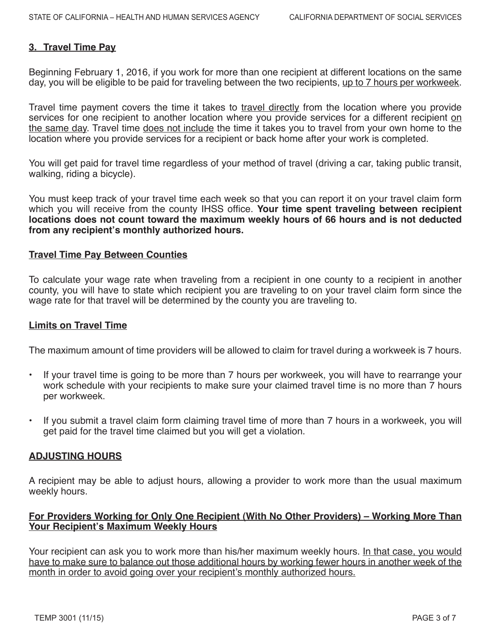# **3. Travel Time Pay**

Beginning February 1, 2016, if you work for more than one recipient at different locations on the same day, you will be eligible to be paid for traveling between the two recipients, up to 7 hours per workweek.

Travel time payment covers the time it takes to travel directly from the location where you provide services for one recipient to another location where you provide services for a different recipient on the same day. Travel time does not include the time it takes you to travel from your own home to the location where you provide services for a recipient or back home after your work is completed.

You will get paid for travel time regardless of your method of travel (driving a car, taking public transit, walking, riding a bicycle).

You must keep track of your travel time each week so that you can report it on your travel claim form which you will receive from the county IHSS office. **Your time spent traveling between recipient locations does not count toward the maximum weekly hours of 66 hours and is not deducted from any recipient's monthly authorized hours.**

#### **Travel Time Pay Between Counties**

To calculate your wage rate when traveling from a recipient in one county to a recipient in another county, you will have to state which recipient you are traveling to on your travel claim form since the wage rate for that travel will be determined by the county you are traveling to.

#### **Limits on Travel Time**

The maximum amount of time providers will be allowed to claim for travel during a workweek is 7 hours.

- If your travel time is going to be more than 7 hours per workweek, you will have to rearrange your work schedule with your recipients to make sure your claimed travel time is no more than 7 hours per workweek.
- If you submit a travel claim form claiming travel time of more than 7 hours in a workweek, you will get paid for the travel time claimed but you will get a violation.

# **ADJUSTING HOURS**

A recipient may be able to adjust hours, allowing a provider to work more than the usual maximum weekly hours.

### **For Providers Working for Only One Recipient (With No Other Providers) – Working More Than Your Recipient's Maximum Weekly Hours**

Your recipient can ask you to work more than his/her maximum weekly hours. In that case, you would have to make sure to balance out those additional hours by working fewer hours in another week of the month in order to avoid going over your recipient's monthly authorized hours.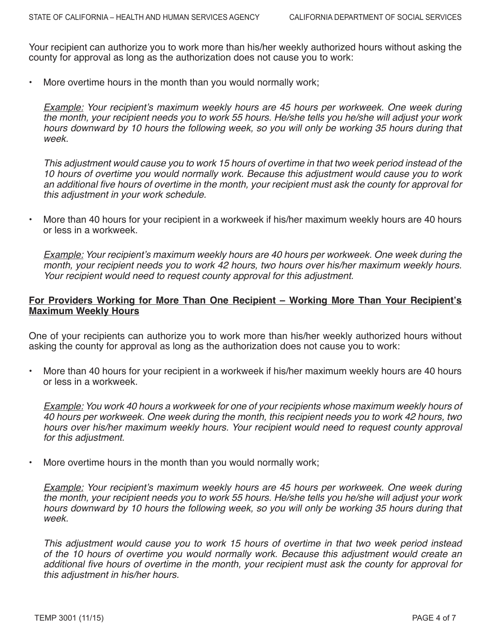Your recipient can authorize you to work more than his/her weekly authorized hours without asking the county for approval as long as the authorization does not cause you to work:

• More overtime hours in the month than you would normally work;

Example: Your recipient's maximum weekly hours are 45 hours per workweek. One week during the month, your recipient needs you to work 55 hours. He/she tells you he/she will adjust your work hours downward by 10 hours the following week, so you will only be working 35 hours during that week.

This adjustment would cause you to work 15 hours of overtime in that two week period instead of the 10 hours of overtime you would normally work. Because this adjustment would cause you to work an additional five hours of overtime in the month, your recipient must ask the county for approval for this adjustment in your work schedule.

• More than 40 hours for your recipient in a workweek if his/her maximum weekly hours are 40 hours or less in a workweek.

Example: Your recipient's maximum weekly hours are 40 hours per workweek. One week during the month, your recipient needs you to work 42 hours, two hours over his/her maximum weekly hours. Your recipient would need to request county approval for this adjustment.

# **For Providers Working for More Than One Recipient – Working More Than Your Recipient's Maximum Weekly Hours**

One of your recipients can authorize you to work more than his/her weekly authorized hours without asking the county for approval as long as the authorization does not cause you to work:

• More than 40 hours for your recipient in a workweek if his/her maximum weekly hours are 40 hours or less in a workweek.

Example: You work 40 hours a workweek for one of your recipients whose maximum weekly hours of 40 hours per workweek. One week during the month, this recipient needs you to work 42 hours, two hours over his/her maximum weekly hours. Your recipient would need to request county approval for this adjustment.

More overtime hours in the month than you would normally work;

Example: Your recipient's maximum weekly hours are 45 hours per workweek. One week during the month, your recipient needs you to work 55 hours. He/she tells you he/she will adjust your work hours downward by 10 hours the following week, so you will only be working 35 hours during that week.

This adjustment would cause you to work 15 hours of overtime in that two week period instead of the 10 hours of overtime you would normally work. Because this adjustment would create an additional five hours of overtime in the month, your recipient must ask the county for approval for this adjustment in his/her hours.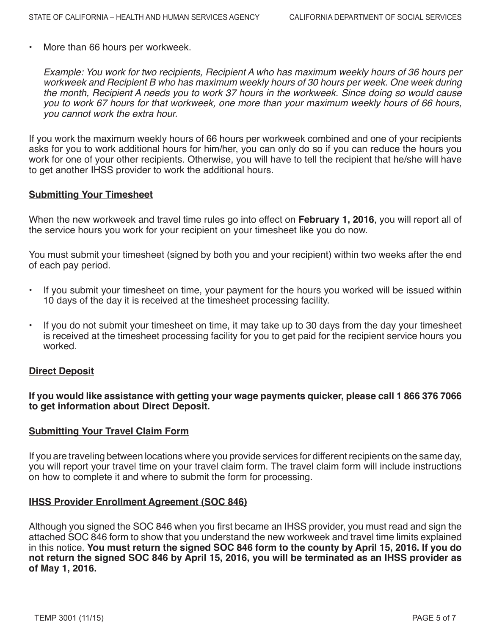• More than 66 hours per workweek.

Example: You work for two recipients, Recipient A who has maximum weekly hours of 36 hours per workweek and Recipient B who has maximum weekly hours of 30 hours per week. One week during the month, Recipient A needs you to work 37 hours in the workweek. Since doing so would cause you to work 67 hours for that workweek, one more than your maximum weekly hours of 66 hours, you cannot work the extra hour.

If you work the maximum weekly hours of 66 hours per workweek combined and one of your recipients asks for you to work additional hours for him/her, you can only do so if you can reduce the hours you work for one of your other recipients. Otherwise, you will have to tell the recipient that he/she will have to get another IHSS provider to work the additional hours.

#### **Submitting Your Timesheet**

When the new workweek and travel time rules go into effect on **February 1, 2016**, you will report all of the service hours you work for your recipient on your timesheet like you do now.

You must submit your timesheet (signed by both you and your recipient) within two weeks after the end of each pay period.

- If you submit your timesheet on time, your payment for the hours you worked will be issued within 10 days of the day it is received at the timesheet processing facility.
- If you do not submit your timesheet on time, it may take up to 30 days from the day your timesheet is received at the timesheet processing facility for you to get paid for the recipient service hours you worked.

#### **Direct Deposit**

**If you would like assistance with getting your wage payments quicker, please call 1 866 376 7066 to get information about Direct Deposit.**

#### **Submitting Your Travel Claim Form**

If you are traveling between locations where you provide services for different recipients on the same day, you will report your travel time on your travel claim form. The travel claim form will include instructions on how to complete it and where to submit the form for processing.

#### **IHSS Provider Enrollment Agreement (SOC 846)**

Although you signed the SOC 846 when you first became an IHSS provider, you must read and sign the attached SOC 846 form to show that you understand the new workweek and travel time limits explained in this notice. **You must return the signed SOC 846 form to the county by April 15, 2016. If you do not return the signed SOC 846 by April 15, 2016, you will be terminated as an IHSS provider as of May 1, 2016.**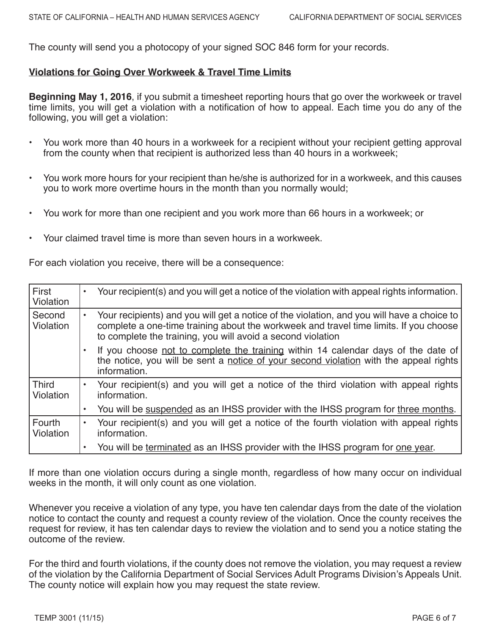The county will send you a photocopy of your signed SOC 846 form for your records.

# **Violations for Going Over Workweek & Travel Time Limits**

**Beginning May 1, 2016**, if you submit a timesheet reporting hours that go over the workweek or travel time limits, you will get a violation with a notification of how to appeal. Each time you do any of the following, you will get a violation:

- You work more than 40 hours in a workweek for a recipient without your recipient getting approval from the county when that recipient is authorized less than 40 hours in a workweek;
- You work more hours for your recipient than he/she is authorized for in a workweek, and this causes you to work more overtime hours in the month than you normally would;
- You work for more than one recipient and you work more than 66 hours in a workweek; or
- Your claimed travel time is more than seven hours in a workweek.

For each violation you receive, there will be a consequence:

| First<br>Violation               | $\bullet$ | Your recipient(s) and you will get a notice of the violation with appeal rights information.                                                                                                                                                       |
|----------------------------------|-----------|----------------------------------------------------------------------------------------------------------------------------------------------------------------------------------------------------------------------------------------------------|
| Second<br><b>Violation</b>       | $\bullet$ | Your recipients) and you will get a notice of the violation, and you will have a choice to<br>complete a one-time training about the workweek and travel time limits. If you choose<br>to complete the training, you will avoid a second violation |
|                                  |           | If you choose not to complete the training within 14 calendar days of the date of<br>the notice, you will be sent a notice of your second violation with the appeal rights<br>information.                                                         |
| <b>Third</b><br><b>Violation</b> |           | Your recipient(s) and you will get a notice of the third violation with appeal rights<br>information.                                                                                                                                              |
|                                  |           | You will be suspended as an IHSS provider with the IHSS program for three months.                                                                                                                                                                  |
| Fourth<br>Violation              | $\bullet$ | Your recipient(s) and you will get a notice of the fourth violation with appeal rights<br>information.                                                                                                                                             |
|                                  |           | You will be terminated as an IHSS provider with the IHSS program for one year.                                                                                                                                                                     |

If more than one violation occurs during a single month, regardless of how many occur on individual weeks in the month, it will only count as one violation.

Whenever you receive a violation of any type, you have ten calendar days from the date of the violation notice to contact the county and request a county review of the violation. Once the county receives the request for review, it has ten calendar days to review the violation and to send you a notice stating the outcome of the review.

For the third and fourth violations, if the county does not remove the violation, you may request a review of the violation by the California Department of Social Services Adult Programs Division's Appeals Unit. The county notice will explain how you may request the state review.